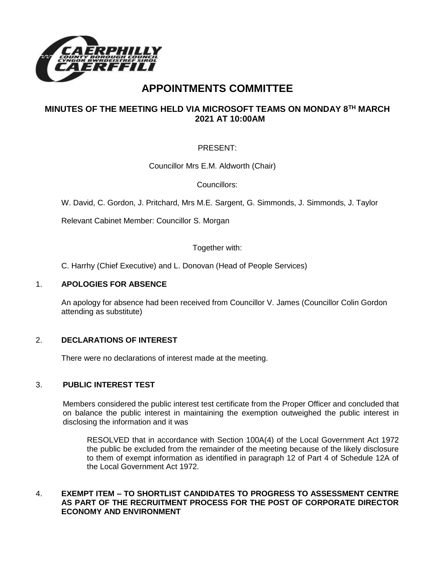

# **APPOINTMENTS COMMITTEE**

# **MINUTES OF THE MEETING HELD VIA MICROSOFT TEAMS ON MONDAY 8TH MARCH 2021 AT 10:00AM**

# PRESENT:

Councillor Mrs E.M. Aldworth (Chair)

Councillors:

W. David, C. Gordon, J. Pritchard, Mrs M.E. Sargent, G. Simmonds, J. Simmonds, J. Taylor

Relevant Cabinet Member: Councillor S. Morgan

Together with:

C. Harrhy (Chief Executive) and L. Donovan (Head of People Services)

#### 1. **APOLOGIES FOR ABSENCE**

An apology for absence had been received from Councillor V. James (Councillor Colin Gordon attending as substitute)

## 2. **DECLARATIONS OF INTEREST**

There were no declarations of interest made at the meeting.

## 3. **PUBLIC INTEREST TEST**

Members considered the public interest test certificate from the Proper Officer and concluded that on balance the public interest in maintaining the exemption outweighed the public interest in disclosing the information and it was

RESOLVED that in accordance with Section 100A(4) of the Local Government Act 1972 the public be excluded from the remainder of the meeting because of the likely disclosure to them of exempt information as identified in paragraph 12 of Part 4 of Schedule 12A of the Local Government Act 1972.

## 4. **EXEMPT ITEM – TO SHORTLIST CANDIDATES TO PROGRESS TO ASSESSMENT CENTRE AS PART OF THE RECRUITMENT PROCESS FOR THE POST OF CORPORATE DIRECTOR ECONOMY AND ENVIRONMENT**